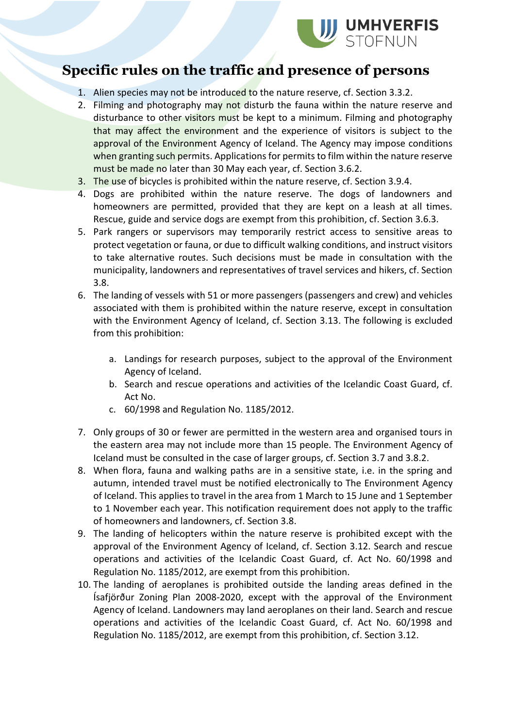

## **Specific rules on the traffic and presence of persons**

- 1. Alien species may not be introduced to the nature reserve, cf. Section 3.3.2.
- 2. Filming and photography may not disturb the fauna within the nature reserve and disturbance to other visitors must be kept to a minimum. Filming and photography that may affect the environment and the experience of visitors is subject to the approval of the Environment Agency of Iceland. The Agency may impose conditions when granting such permits. Applications for permits to film within the nature reserve must be made no later than 30 May each year, cf. Section 3.6.2.
- 3. The use of bicycles is prohibited within the nature reserve, cf. Section 3.9.4.
- 4. Dogs are prohibited within the nature reserve. The dogs of landowners and homeowners are permitted, provided that they are kept on a leash at all times. Rescue, guide and service dogs are exempt from this prohibition, cf. Section 3.6.3.
- 5. Park rangers or supervisors may temporarily restrict access to sensitive areas to protect vegetation or fauna, or due to difficult walking conditions, and instruct visitors to take alternative routes. Such decisions must be made in consultation with the municipality, landowners and representatives of travel services and hikers, cf. Section 3.8.
- 6. The landing of vessels with 51 or more passengers (passengers and crew) and vehicles associated with them is prohibited within the nature reserve, except in consultation with the Environment Agency of Iceland, cf. Section 3.13. The following is excluded from this prohibition:
	- a. Landings for research purposes, subject to the approval of the Environment Agency of Iceland.
	- b. Search and rescue operations and activities of the Icelandic Coast Guard, cf. Act No.
	- c. 60/1998 and Regulation No. 1185/2012.
- 7. Only groups of 30 or fewer are permitted in the western area and organised tours in the eastern area may not include more than 15 people. The Environment Agency of Iceland must be consulted in the case of larger groups, cf. Section 3.7 and 3.8.2.
- 8. When flora, fauna and walking paths are in a sensitive state, i.e. in the spring and autumn, intended travel must be notified electronically to The Environment Agency of Iceland. This applies to travel in the area from 1 March to 15 June and 1 September to 1 November each year. This notification requirement does not apply to the traffic of homeowners and landowners, cf. Section 3.8.
- 9. The landing of helicopters within the nature reserve is prohibited except with the approval of the Environment Agency of Iceland, cf. Section 3.12. Search and rescue operations and activities of the Icelandic Coast Guard, cf. Act No. 60/1998 and Regulation No. 1185/2012, are exempt from this prohibition.
- 10. The landing of aeroplanes is prohibited outside the landing areas defined in the Ísafjörður Zoning Plan 2008-2020, except with the approval of the Environment Agency of Iceland. Landowners may land aeroplanes on their land. Search and rescue operations and activities of the Icelandic Coast Guard, cf. Act No. 60/1998 and Regulation No. 1185/2012, are exempt from this prohibition, cf. Section 3.12.